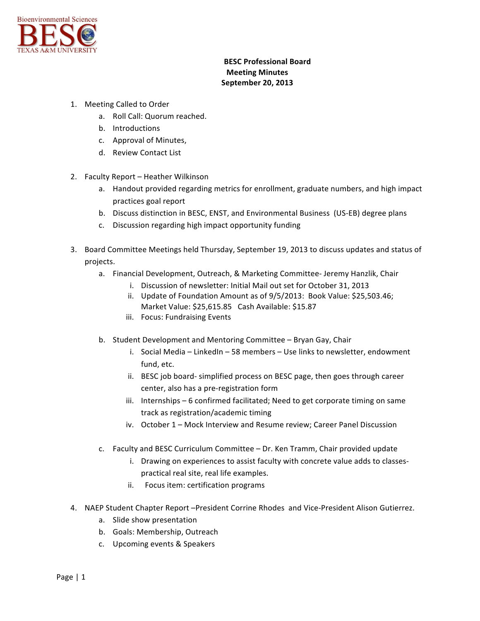

## **BESC Professional Board Meeting Minutes September 20, 2013**

- 1. Meeting Called to Order
	- a. Roll Call: Quorum reached.
	- b. Introductions
	- c. Approval of Minutes,
	- d. Review Contact List
- 2. Faculty Report Heather Wilkinson
	- a. Handout provided regarding metrics for enrollment, graduate numbers, and high impact practices goal report
	- b. Discuss distinction in BESC, ENST, and Environmental Business (US-EB) degree plans
	- c. Discussion regarding high impact opportunity funding
- 3. Board Committee Meetings held Thursday, September 19, 2013 to discuss updates and status of projects.
	- a. Financial Development, Outreach, & Marketing Committee- Jeremy Hanzlik, Chair
		- i. Discussion of newsletter: Initial Mail out set for October 31, 2013
		- ii. Update of Foundation Amount as of  $9/5/2013$ : Book Value: \$25,503.46; Market Value: \$25,615.85 Cash Available: \$15.87
		- iii. Focus: Fundraising Events
	- b. Student Development and Mentoring Committee Bryan Gay, Chair
		- i. Social Media LinkedIn 58 members Use links to newsletter, endowment fund, etc.
		- ii. BESC job board- simplified process on BESC page, then goes through career center, also has a pre-registration form
		- iii. Internships 6 confirmed facilitated; Need to get corporate timing on same track as registration/academic timing
		- iv. October 1 Mock Interview and Resume review; Career Panel Discussion
	- c. Faculty and BESC Curriculum Committee Dr. Ken Tramm, Chair provided update
		- i. Drawing on experiences to assist faculty with concrete value adds to classespractical real site, real life examples.
		- ii. Focus item: certification programs
- 4. NAEP Student Chapter Report -President Corrine Rhodes and Vice-President Alison Gutierrez.
	- a. Slide show presentation
	- b. Goals: Membership, Outreach
	- c. Upcoming events & Speakers